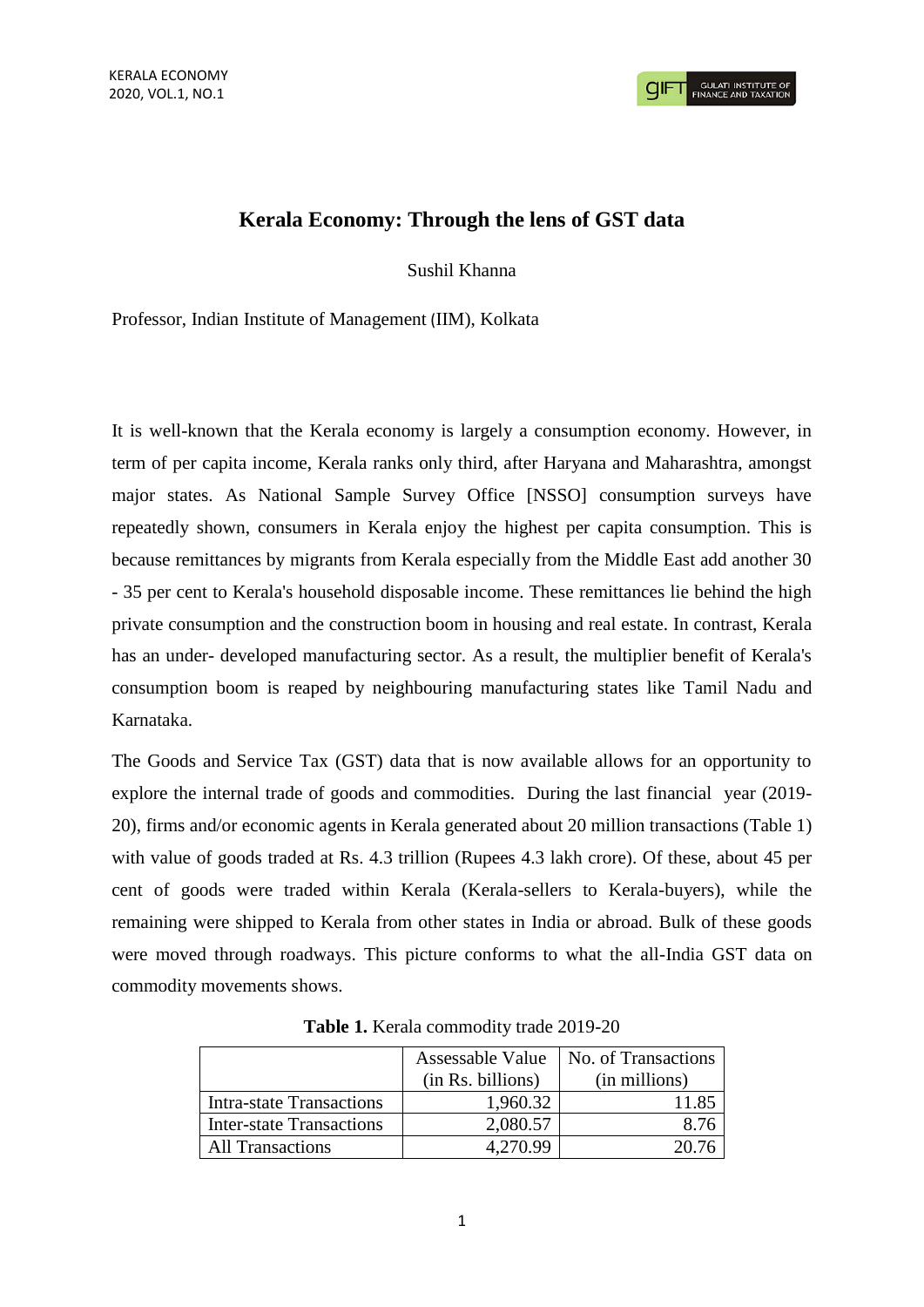## **Kerala Economy: Through the lens of GST data**

Sushil Khanna

Professor, Indian Institute of Management (IIM), Kolkata

It is well-known that the Kerala economy is largely a consumption economy. However, in term of per capita income, Kerala ranks only third, after Haryana and Maharashtra, amongst major states. As National Sample Survey Office [NSSO] consumption surveys have repeatedly shown, consumers in Kerala enjoy the highest per capita consumption. This is because remittances by migrants from Kerala especially from the Middle East add another 30 - 35 per cent to Kerala's household disposable income. These remittances lie behind the high private consumption and the construction boom in housing and real estate. In contrast, Kerala has an under- developed manufacturing sector. As a result, the multiplier benefit of Kerala's consumption boom is reaped by neighbouring manufacturing states like Tamil Nadu and Karnataka.

The Goods and Service Tax (GST) data that is now available allows for an opportunity to explore the internal trade of goods and commodities. During the last financial year (2019- 20), firms and/or economic agents in Kerala generated about 20 million transactions (Table 1) with value of goods traded at Rs. 4.3 trillion (Rupees 4.3 lakh crore). Of these, about 45 per cent of goods were traded within Kerala (Kerala-sellers to Kerala-buyers), while the remaining were shipped to Kerala from other states in India or abroad. Bulk of these goods were moved through roadways. This picture conforms to what the all-India GST data on commodity movements shows.

|                                 | Assessable Value<br>(in Rs. billions) | No. of Transactions<br>(in millions) |
|---------------------------------|---------------------------------------|--------------------------------------|
|                                 |                                       |                                      |
| <b>Intra-state Transactions</b> | 1,960.32                              | 11.85                                |
| <b>Inter-state Transactions</b> | 2,080.57                              | 8.76                                 |
| <b>All Transactions</b>         | 4.270.99                              | 20.76                                |

**Table 1.** Kerala commodity trade 2019-20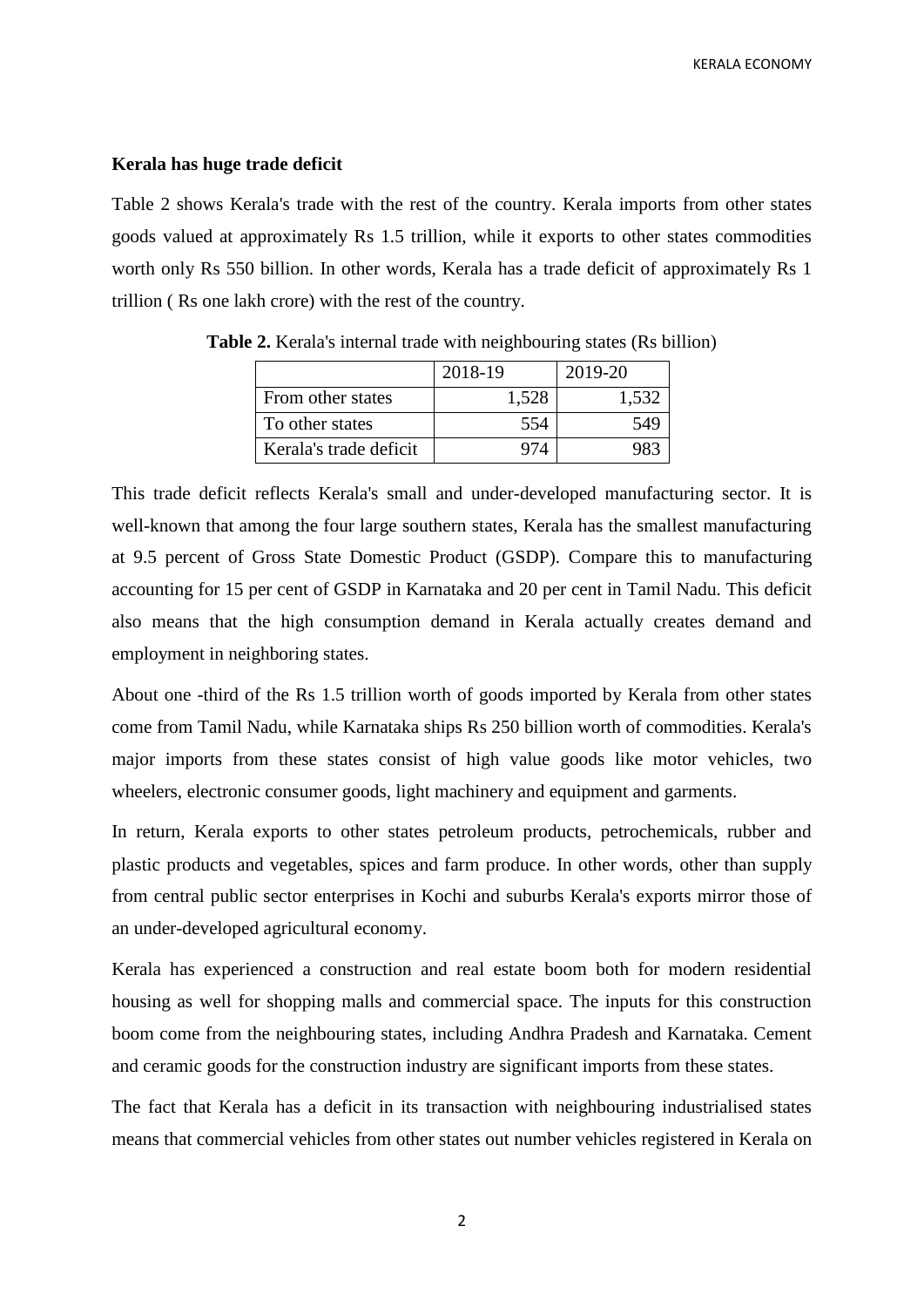## **Kerala has huge trade deficit**

Table 2 shows Kerala's trade with the rest of the country. Kerala imports from other states goods valued at approximately Rs 1.5 trillion, while it exports to other states commodities worth only Rs 550 billion. In other words, Kerala has a trade deficit of approximately Rs 1 trillion ( Rs one lakh crore) with the rest of the country.

|                        | 2018-19 | 2019-20 |
|------------------------|---------|---------|
| From other states      | 1,528   | 1,532   |
| To other states        | 554     | 549     |
| Kerala's trade deficit |         |         |

**Table 2.** Kerala's internal trade with neighbouring states (Rs billion)

This trade deficit reflects Kerala's small and under-developed manufacturing sector. It is well-known that among the four large southern states, Kerala has the smallest manufacturing at 9.5 percent of Gross State Domestic Product (GSDP). Compare this to manufacturing accounting for 15 per cent of GSDP in Karnataka and 20 per cent in Tamil Nadu. This deficit also means that the high consumption demand in Kerala actually creates demand and employment in neighboring states.

About one -third of the Rs 1.5 trillion worth of goods imported by Kerala from other states come from Tamil Nadu, while Karnataka ships Rs 250 billion worth of commodities. Kerala's major imports from these states consist of high value goods like motor vehicles, two wheelers, electronic consumer goods, light machinery and equipment and garments.

In return, Kerala exports to other states petroleum products, petrochemicals, rubber and plastic products and vegetables, spices and farm produce. In other words, other than supply from central public sector enterprises in Kochi and suburbs Kerala's exports mirror those of an under-developed agricultural economy.

Kerala has experienced a construction and real estate boom both for modern residential housing as well for shopping malls and commercial space. The inputs for this construction boom come from the neighbouring states, including Andhra Pradesh and Karnataka. Cement and ceramic goods for the construction industry are significant imports from these states.

The fact that Kerala has a deficit in its transaction with neighbouring industrialised states means that commercial vehicles from other states out number vehicles registered in Kerala on

2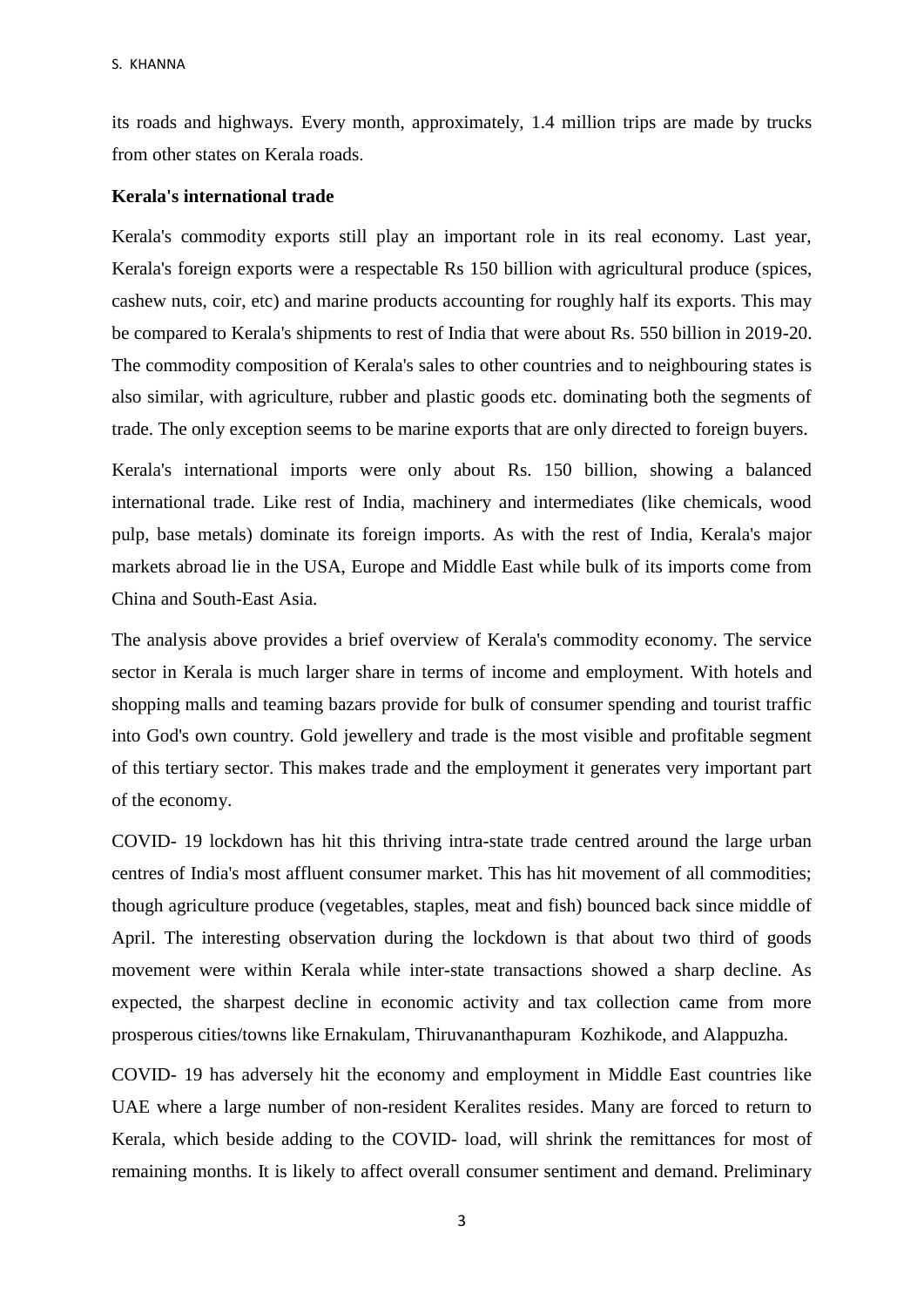its roads and highways. Every month, approximately, 1.4 million trips are made by trucks from other states on Kerala roads.

## **Kerala's international trade**

Kerala's commodity exports still play an important role in its real economy. Last year, Kerala's foreign exports were a respectable Rs 150 billion with agricultural produce (spices, cashew nuts, coir, etc) and marine products accounting for roughly half its exports. This may be compared to Kerala's shipments to rest of India that were about Rs. 550 billion in 2019-20. The commodity composition of Kerala's sales to other countries and to neighbouring states is also similar, with agriculture, rubber and plastic goods etc. dominating both the segments of trade. The only exception seems to be marine exports that are only directed to foreign buyers.

Kerala's international imports were only about Rs. 150 billion, showing a balanced international trade. Like rest of India, machinery and intermediates (like chemicals, wood pulp, base metals) dominate its foreign imports. As with the rest of India, Kerala's major markets abroad lie in the USA, Europe and Middle East while bulk of its imports come from China and South-East Asia.

The analysis above provides a brief overview of Kerala's commodity economy. The service sector in Kerala is much larger share in terms of income and employment. With hotels and shopping malls and teaming bazars provide for bulk of consumer spending and tourist traffic into God's own country. Gold jewellery and trade is the most visible and profitable segment of this tertiary sector. This makes trade and the employment it generates very important part of the economy.

COVID- 19 lockdown has hit this thriving intra-state trade centred around the large urban centres of India's most affluent consumer market. This has hit movement of all commodities; though agriculture produce (vegetables, staples, meat and fish) bounced back since middle of April. The interesting observation during the lockdown is that about two third of goods movement were within Kerala while inter-state transactions showed a sharp decline. As expected, the sharpest decline in economic activity and tax collection came from more prosperous cities/towns like Ernakulam, Thiruvananthapuram Kozhikode, and Alappuzha.

COVID- 19 has adversely hit the economy and employment in Middle East countries like UAE where a large number of non-resident Keralites resides. Many are forced to return to Kerala, which beside adding to the COVID- load, will shrink the remittances for most of remaining months. It is likely to affect overall consumer sentiment and demand. Preliminary